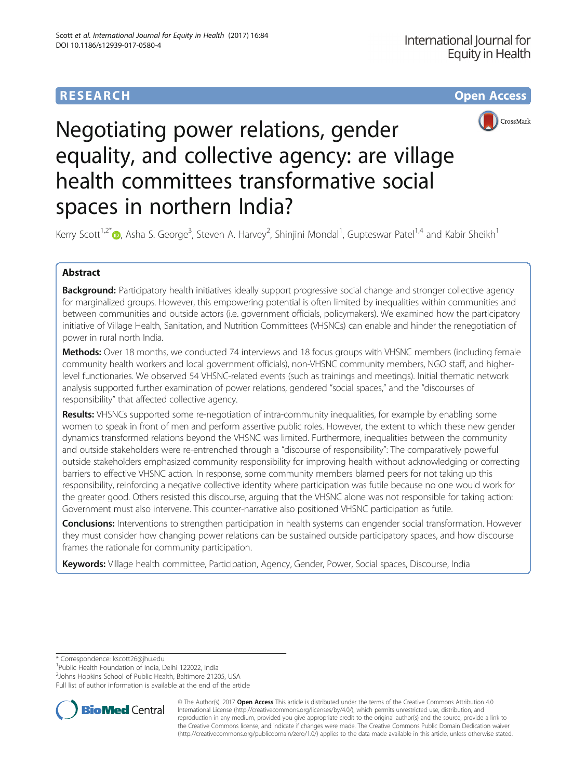

# Negotiating power relations, gender equality, and collective agency: are village health committees transformative social spaces in northern India?

Kerry Scott<sup>1[,](http://orcid.org/0000-0003-3597-9637)2\*</sup>®, Asha S. George<sup>3</sup>, Steven A. Harvey<sup>2</sup>, Shinjini Mondal<sup>1</sup>, Gupteswar Patel<sup>1,4</sup> and Kabir Sheikh<sup>1</sup>

# Abstract

Background: Participatory health initiatives ideally support progressive social change and stronger collective agency for marginalized groups. However, this empowering potential is often limited by inequalities within communities and between communities and outside actors (i.e. government officials, policymakers). We examined how the participatory initiative of Village Health, Sanitation, and Nutrition Committees (VHSNCs) can enable and hinder the renegotiation of power in rural north India.

Methods: Over 18 months, we conducted 74 interviews and 18 focus groups with VHSNC members (including female community health workers and local government officials), non-VHSNC community members, NGO staff, and higherlevel functionaries. We observed 54 VHSNC-related events (such as trainings and meetings). Initial thematic network analysis supported further examination of power relations, gendered "social spaces," and the "discourses of responsibility" that affected collective agency.

Results: VHSNCs supported some re-negotiation of intra-community inequalities, for example by enabling some women to speak in front of men and perform assertive public roles. However, the extent to which these new gender dynamics transformed relations beyond the VHSNC was limited. Furthermore, inequalities between the community and outside stakeholders were re-entrenched through a "discourse of responsibility": The comparatively powerful outside stakeholders emphasized community responsibility for improving health without acknowledging or correcting barriers to effective VHSNC action. In response, some community members blamed peers for not taking up this responsibility, reinforcing a negative collective identity where participation was futile because no one would work for the greater good. Others resisted this discourse, arguing that the VHSNC alone was not responsible for taking action: Government must also intervene. This counter-narrative also positioned VHSNC participation as futile.

**Conclusions:** Interventions to strengthen participation in health systems can engender social transformation. However they must consider how changing power relations can be sustained outside participatory spaces, and how discourse frames the rationale for community participation.

Keywords: Village health committee, Participation, Agency, Gender, Power, Social spaces, Discourse, India

\* Correspondence: [kscott26@jhu.edu](mailto:kscott26@jhu.edu) <sup>1</sup>

<sup>2</sup> Johns Hopkins School of Public Health, Baltimore 21205, USA

Full list of author information is available at the end of the article



© The Author(s). 2017 **Open Access** This article is distributed under the terms of the Creative Commons Attribution 4.0 International License [\(http://creativecommons.org/licenses/by/4.0/](http://creativecommons.org/licenses/by/4.0/)), which permits unrestricted use, distribution, and reproduction in any medium, provided you give appropriate credit to the original author(s) and the source, provide a link to the Creative Commons license, and indicate if changes were made. The Creative Commons Public Domain Dedication waiver [\(http://creativecommons.org/publicdomain/zero/1.0/](http://creativecommons.org/publicdomain/zero/1.0/)) applies to the data made available in this article, unless otherwise stated.

<sup>&</sup>lt;sup>1</sup>Public Health Foundation of India, Delhi 122022, India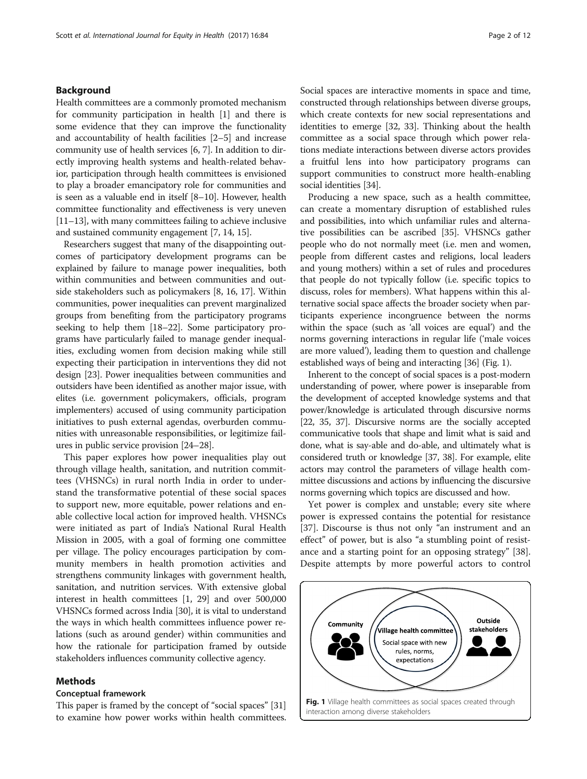# Background

Health committees are a commonly promoted mechanism for community participation in health [[1\]](#page-10-0) and there is some evidence that they can improve the functionality and accountability of health facilities [\[2](#page-10-0)–[5\]](#page-10-0) and increase community use of health services [\[6](#page-10-0), [7\]](#page-10-0). In addition to directly improving health systems and health-related behavior, participation through health committees is envisioned to play a broader emancipatory role for communities and is seen as a valuable end in itself [\[8](#page-10-0)–[10\]](#page-10-0). However, health committee functionality and effectiveness is very uneven [[11](#page-10-0)–[13\]](#page-10-0), with many committees failing to achieve inclusive and sustained community engagement [[7](#page-10-0), [14, 15](#page-10-0)].

Researchers suggest that many of the disappointing outcomes of participatory development programs can be explained by failure to manage power inequalities, both within communities and between communities and outside stakeholders such as policymakers [\[8](#page-10-0), [16](#page-10-0), [17\]](#page-10-0). Within communities, power inequalities can prevent marginalized groups from benefiting from the participatory programs seeking to help them [\[18](#page-10-0)–[22](#page-10-0)]. Some participatory programs have particularly failed to manage gender inequalities, excluding women from decision making while still expecting their participation in interventions they did not design [[23](#page-10-0)]. Power inequalities between communities and outsiders have been identified as another major issue, with elites (i.e. government policymakers, officials, program implementers) accused of using community participation initiatives to push external agendas, overburden communities with unreasonable responsibilities, or legitimize failures in public service provision [[24](#page-10-0)–[28\]](#page-10-0).

This paper explores how power inequalities play out through village health, sanitation, and nutrition committees (VHSNCs) in rural north India in order to understand the transformative potential of these social spaces to support new, more equitable, power relations and enable collective local action for improved health. VHSNCs were initiated as part of India's National Rural Health Mission in 2005, with a goal of forming one committee per village. The policy encourages participation by community members in health promotion activities and strengthens community linkages with government health, sanitation, and nutrition services. With extensive global interest in health committees [\[1](#page-10-0), [29\]](#page-10-0) and over 500,000 VHSNCs formed across India [\[30\]](#page-10-0), it is vital to understand the ways in which health committees influence power relations (such as around gender) within communities and how the rationale for participation framed by outside stakeholders influences community collective agency.

# Methods

# Conceptual framework

This paper is framed by the concept of "social spaces" [[31](#page-10-0)] to examine how power works within health committees. Social spaces are interactive moments in space and time, constructed through relationships between diverse groups, which create contexts for new social representations and identities to emerge [\[32, 33\]](#page-10-0). Thinking about the health committee as a social space through which power relations mediate interactions between diverse actors provides a fruitful lens into how participatory programs can support communities to construct more health-enabling social identities [[34](#page-10-0)].

Producing a new space, such as a health committee, can create a momentary disruption of established rules and possibilities, into which unfamiliar rules and alternative possibilities can be ascribed [\[35\]](#page-10-0). VHSNCs gather people who do not normally meet (i.e. men and women, people from different castes and religions, local leaders and young mothers) within a set of rules and procedures that people do not typically follow (i.e. specific topics to discuss, roles for members). What happens within this alternative social space affects the broader society when participants experience incongruence between the norms within the space (such as 'all voices are equal') and the norms governing interactions in regular life ('male voices are more valued'), leading them to question and challenge established ways of being and interacting [[36\]](#page-10-0) (Fig. 1).

Inherent to the concept of social spaces is a post-modern understanding of power, where power is inseparable from the development of accepted knowledge systems and that power/knowledge is articulated through discursive norms [[22](#page-10-0), [35, 37](#page-10-0)]. Discursive norms are the socially accepted communicative tools that shape and limit what is said and done, what is say-able and do-able, and ultimately what is considered truth or knowledge [\[37, 38\]](#page-10-0). For example, elite actors may control the parameters of village health committee discussions and actions by influencing the discursive norms governing which topics are discussed and how.

Yet power is complex and unstable; every site where power is expressed contains the potential for resistance [[37\]](#page-10-0). Discourse is thus not only "an instrument and an effect" of power, but is also "a stumbling point of resistance and a starting point for an opposing strategy" [\[38](#page-10-0)]. Despite attempts by more powerful actors to control

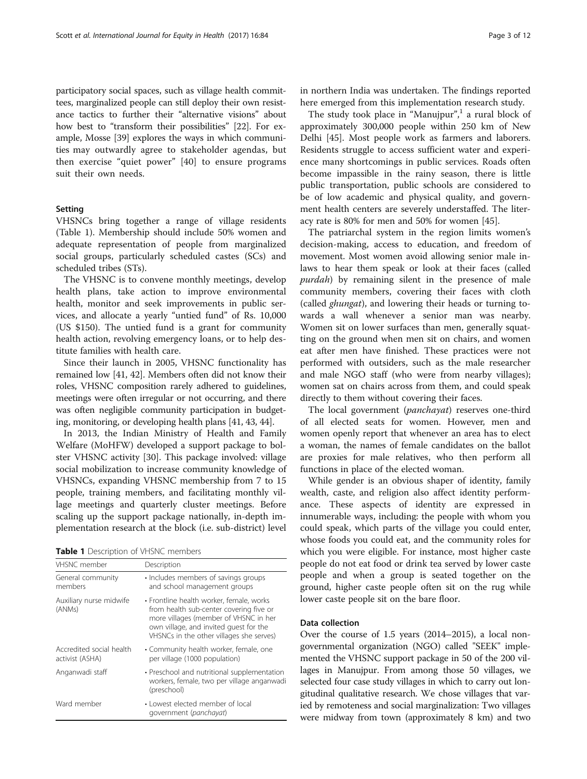participatory social spaces, such as village health committees, marginalized people can still deploy their own resistance tactics to further their "alternative visions" about how best to "transform their possibilities" [\[22\]](#page-10-0). For example, Mosse [[39](#page-10-0)] explores the ways in which communities may outwardly agree to stakeholder agendas, but then exercise "quiet power" [\[40](#page-10-0)] to ensure programs suit their own needs.

# Setting

VHSNCs bring together a range of village residents (Table 1). Membership should include 50% women and adequate representation of people from marginalized social groups, particularly scheduled castes (SCs) and scheduled tribes (STs).

The VHSNC is to convene monthly meetings, develop health plans, take action to improve environmental health, monitor and seek improvements in public services, and allocate a yearly "untied fund" of Rs. 10,000 (US \$150). The untied fund is a grant for community health action, revolving emergency loans, or to help destitute families with health care.

Since their launch in 2005, VHSNC functionality has remained low [[41](#page-10-0), [42\]](#page-10-0). Members often did not know their roles, VHSNC composition rarely adhered to guidelines, meetings were often irregular or not occurring, and there was often negligible community participation in budgeting, monitoring, or developing health plans [\[41, 43, 44](#page-10-0)].

In 2013, the Indian Ministry of Health and Family Welfare (MoHFW) developed a support package to bolster VHSNC activity [\[30](#page-10-0)]. This package involved: village social mobilization to increase community knowledge of VHSNCs, expanding VHSNC membership from 7 to 15 people, training members, and facilitating monthly village meetings and quarterly cluster meetings. Before scaling up the support package nationally, in-depth implementation research at the block (i.e. sub-district) level

| Table 1 Description of VHSNC members |  |
|--------------------------------------|--|
|--------------------------------------|--|

| VHSNC member                                | Description                                                                                                                                                                                                        |
|---------------------------------------------|--------------------------------------------------------------------------------------------------------------------------------------------------------------------------------------------------------------------|
| General community<br>members                | · Includes members of savings groups<br>and school management groups                                                                                                                                               |
| Auxiliary nurse midwife<br>(ANMs)           | • Frontline health worker, female, works<br>from health sub-center covering five or<br>more villages (member of VHSNC in her<br>own village, and invited quest for the<br>VHSNCs in the other villages she serves) |
| Accredited social health<br>activist (ASHA) | • Community health worker, female, one<br>per village (1000 population)                                                                                                                                            |
| Anganwadi staff                             | • Preschool and nutritional supplementation<br>workers, female, two per village anganwadi<br>(preschool)                                                                                                           |
| Ward member                                 | • Lowest elected member of local<br>government (panchayat)                                                                                                                                                         |

The study took place in "Manujpur", <sup>1</sup> a rural block of approximately 300,000 people within 250 km of New Delhi [\[45](#page-10-0)]. Most people work as farmers and laborers. Residents struggle to access sufficient water and experience many shortcomings in public services. Roads often become impassible in the rainy season, there is little public transportation, public schools are considered to be of low academic and physical quality, and government health centers are severely understaffed. The literacy rate is 80% for men and 50% for women [\[45\]](#page-10-0).

The patriarchal system in the region limits women's decision-making, access to education, and freedom of movement. Most women avoid allowing senior male inlaws to hear them speak or look at their faces (called purdah) by remaining silent in the presence of male community members, covering their faces with cloth (called ghungat), and lowering their heads or turning towards a wall whenever a senior man was nearby. Women sit on lower surfaces than men, generally squatting on the ground when men sit on chairs, and women eat after men have finished. These practices were not performed with outsiders, such as the male researcher and male NGO staff (who were from nearby villages); women sat on chairs across from them, and could speak directly to them without covering their faces.

The local government (panchayat) reserves one-third of all elected seats for women. However, men and women openly report that whenever an area has to elect a woman, the names of female candidates on the ballot are proxies for male relatives, who then perform all functions in place of the elected woman.

While gender is an obvious shaper of identity, family wealth, caste, and religion also affect identity performance. These aspects of identity are expressed in innumerable ways, including: the people with whom you could speak, which parts of the village you could enter, whose foods you could eat, and the community roles for which you were eligible. For instance, most higher caste people do not eat food or drink tea served by lower caste people and when a group is seated together on the ground, higher caste people often sit on the rug while lower caste people sit on the bare floor.

# Data collection

Over the course of 1.5 years (2014–2015), a local nongovernmental organization (NGO) called "SEEK" implemented the VHSNC support package in 50 of the 200 villages in Manujpur. From among those 50 villages, we selected four case study villages in which to carry out longitudinal qualitative research. We chose villages that varied by remoteness and social marginalization: Two villages were midway from town (approximately 8 km) and two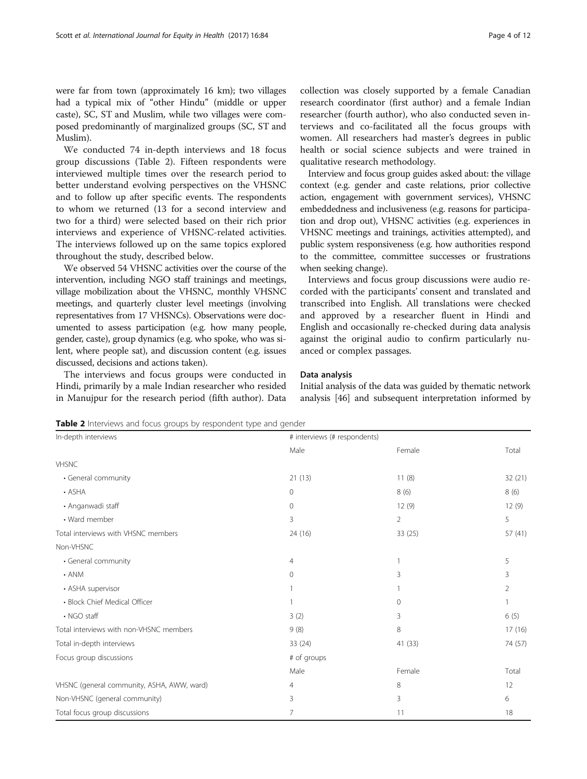were far from town (approximately 16 km); two villages had a typical mix of "other Hindu" (middle or upper caste), SC, ST and Muslim, while two villages were composed predominantly of marginalized groups (SC, ST and Muslim).

We conducted 74 in-depth interviews and 18 focus group discussions (Table 2). Fifteen respondents were interviewed multiple times over the research period to better understand evolving perspectives on the VHSNC and to follow up after specific events. The respondents to whom we returned (13 for a second interview and two for a third) were selected based on their rich prior interviews and experience of VHSNC-related activities. The interviews followed up on the same topics explored throughout the study, described below.

We observed 54 VHSNC activities over the course of the intervention, including NGO staff trainings and meetings, village mobilization about the VHSNC, monthly VHSNC meetings, and quarterly cluster level meetings (involving representatives from 17 VHSNCs). Observations were documented to assess participation (e.g. how many people, gender, caste), group dynamics (e.g. who spoke, who was silent, where people sat), and discussion content (e.g. issues discussed, decisions and actions taken).

The interviews and focus groups were conducted in Hindi, primarily by a male Indian researcher who resided in Manujpur for the research period (fifth author). Data collection was closely supported by a female Canadian research coordinator (first author) and a female Indian researcher (fourth author), who also conducted seven interviews and co-facilitated all the focus groups with women. All researchers had master's degrees in public health or social science subjects and were trained in qualitative research methodology.

Interview and focus group guides asked about: the village context (e.g. gender and caste relations, prior collective action, engagement with government services), VHSNC embeddedness and inclusiveness (e.g. reasons for participation and drop out), VHSNC activities (e.g. experiences in VHSNC meetings and trainings, activities attempted), and public system responsiveness (e.g. how authorities respond to the committee, committee successes or frustrations when seeking change).

Interviews and focus group discussions were audio recorded with the participants' consent and translated and transcribed into English. All translations were checked and approved by a researcher fluent in Hindi and English and occasionally re-checked during data analysis against the original audio to confirm particularly nuanced or complex passages.

# Data analysis

Initial analysis of the data was guided by thematic network analysis [[46](#page-10-0)] and subsequent interpretation informed by

Table 2 Interviews and focus groups by respondent type and gender

| In-depth interviews                        | # interviews (# respondents) |                |                |
|--------------------------------------------|------------------------------|----------------|----------------|
|                                            | Male                         | Female         | Total          |
| VHSNC                                      |                              |                |                |
| • General community                        | 21(13)                       | 11(8)          | 32(21)         |
| • ASHA                                     | 0                            | 8(6)           | 8(6)           |
| • Anganwadi staff                          | $\circ$                      | 12(9)          | 12(9)          |
| • Ward member                              | 3                            | $\overline{2}$ | 5              |
| Total interviews with VHSNC members        | 24 (16)                      | 33 (25)        | 57(41)         |
| Non-VHSNC                                  |                              |                |                |
| • General community                        | 4                            |                | 5              |
| $\cdot$ ANM                                | $\mathbf{0}$                 | 3              | 3              |
| • ASHA supervisor                          |                              |                | $\overline{2}$ |
| • Block Chief Medical Officer              |                              | 0              |                |
| • NGO staff                                | 3(2)                         | 3              | 6(5)           |
| Total interviews with non-VHSNC members    | 9(8)                         | 8              | 17 (16)        |
| Total in-depth interviews                  | 33 (24)                      | 41 (33)        | 74 (57)        |
| Focus group discussions                    | # of groups                  |                |                |
|                                            | Male                         | Female         | Total          |
| VHSNC (general community, ASHA, AWW, ward) | 4                            | 8              | 12             |
| Non-VHSNC (general community)              | 3                            | 3              | 6              |
| Total focus group discussions              | $\overline{7}$               | 11             | 18             |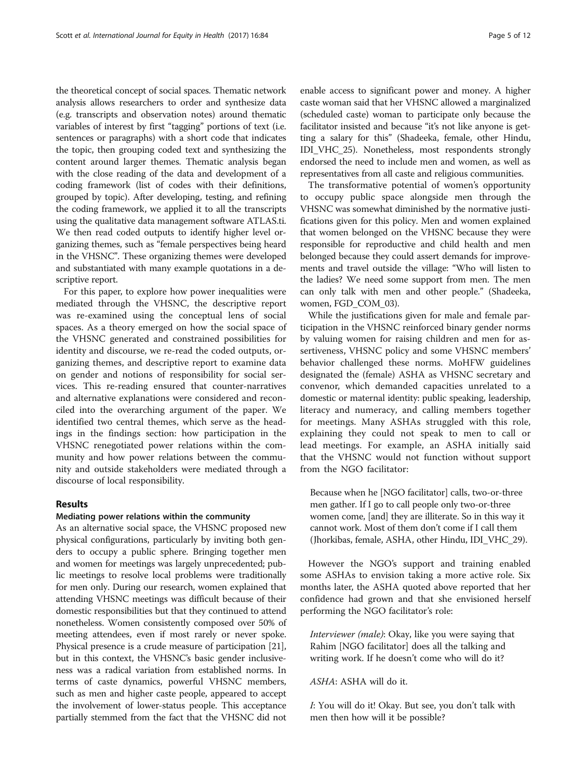the theoretical concept of social spaces. Thematic network analysis allows researchers to order and synthesize data (e.g. transcripts and observation notes) around thematic variables of interest by first "tagging" portions of text (i.e. sentences or paragraphs) with a short code that indicates the topic, then grouping coded text and synthesizing the content around larger themes. Thematic analysis began with the close reading of the data and development of a coding framework (list of codes with their definitions, grouped by topic). After developing, testing, and refining the coding framework, we applied it to all the transcripts using the qualitative data management software ATLAS.ti. We then read coded outputs to identify higher level organizing themes, such as "female perspectives being heard in the VHSNC". These organizing themes were developed and substantiated with many example quotations in a descriptive report.

For this paper, to explore how power inequalities were mediated through the VHSNC, the descriptive report was re-examined using the conceptual lens of social spaces. As a theory emerged on how the social space of the VHSNC generated and constrained possibilities for identity and discourse, we re-read the coded outputs, organizing themes, and descriptive report to examine data on gender and notions of responsibility for social services. This re-reading ensured that counter-narratives and alternative explanations were considered and reconciled into the overarching argument of the paper. We identified two central themes, which serve as the headings in the findings section: how participation in the VHSNC renegotiated power relations within the community and how power relations between the community and outside stakeholders were mediated through a discourse of local responsibility.

# Results

#### Mediating power relations within the community

As an alternative social space, the VHSNC proposed new physical configurations, particularly by inviting both genders to occupy a public sphere. Bringing together men and women for meetings was largely unprecedented; public meetings to resolve local problems were traditionally for men only. During our research, women explained that attending VHSNC meetings was difficult because of their domestic responsibilities but that they continued to attend nonetheless. Women consistently composed over 50% of meeting attendees, even if most rarely or never spoke. Physical presence is a crude measure of participation [[21](#page-10-0)], but in this context, the VHSNC's basic gender inclusiveness was a radical variation from established norms. In terms of caste dynamics, powerful VHSNC members, such as men and higher caste people, appeared to accept the involvement of lower-status people. This acceptance partially stemmed from the fact that the VHSNC did not enable access to significant power and money. A higher caste woman said that her VHSNC allowed a marginalized (scheduled caste) woman to participate only because the facilitator insisted and because "it's not like anyone is getting a salary for this" (Shadeeka, female, other Hindu, IDI\_VHC\_25). Nonetheless, most respondents strongly endorsed the need to include men and women, as well as representatives from all caste and religious communities.

The transformative potential of women's opportunity to occupy public space alongside men through the VHSNC was somewhat diminished by the normative justifications given for this policy. Men and women explained that women belonged on the VHSNC because they were responsible for reproductive and child health and men belonged because they could assert demands for improvements and travel outside the village: "Who will listen to the ladies? We need some support from men. The men can only talk with men and other people." (Shadeeka, women, FGD\_COM\_03).

While the justifications given for male and female participation in the VHSNC reinforced binary gender norms by valuing women for raising children and men for assertiveness, VHSNC policy and some VHSNC members' behavior challenged these norms. MoHFW guidelines designated the (female) ASHA as VHSNC secretary and convenor, which demanded capacities unrelated to a domestic or maternal identity: public speaking, leadership, literacy and numeracy, and calling members together for meetings. Many ASHAs struggled with this role, explaining they could not speak to men to call or lead meetings. For example, an ASHA initially said that the VHSNC would not function without support from the NGO facilitator:

Because when he [NGO facilitator] calls, two-or-three men gather. If I go to call people only two-or-three women come, [and] they are illiterate. So in this way it cannot work. Most of them don't come if I call them (Jhorkibas, female, ASHA, other Hindu, IDI\_VHC\_29).

However the NGO's support and training enabled some ASHAs to envision taking a more active role. Six months later, the ASHA quoted above reported that her confidence had grown and that she envisioned herself performing the NGO facilitator's role:

Interviewer (male): Okay, like you were saying that Rahim [NGO facilitator] does all the talking and writing work. If he doesn't come who will do it?

ASHA: ASHA will do it.

I: You will do it! Okay. But see, you don't talk with men then how will it be possible?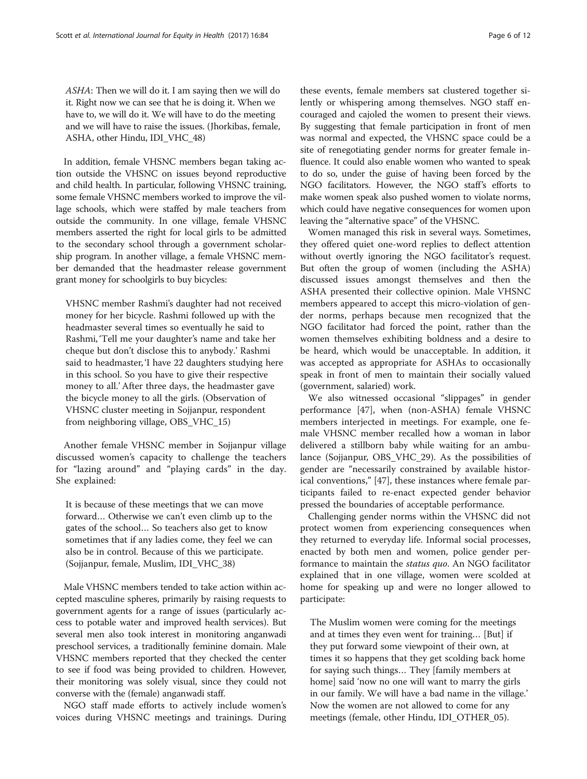ASHA: Then we will do it. I am saying then we will do it. Right now we can see that he is doing it. When we have to, we will do it. We will have to do the meeting and we will have to raise the issues. (Jhorkibas, female, ASHA, other Hindu, IDI\_VHC\_48)

In addition, female VHSNC members began taking action outside the VHSNC on issues beyond reproductive and child health. In particular, following VHSNC training, some female VHSNC members worked to improve the village schools, which were staffed by male teachers from outside the community. In one village, female VHSNC members asserted the right for local girls to be admitted to the secondary school through a government scholarship program. In another village, a female VHSNC member demanded that the headmaster release government grant money for schoolgirls to buy bicycles:

VHSNC member Rashmi's daughter had not received money for her bicycle. Rashmi followed up with the headmaster several times so eventually he said to Rashmi, 'Tell me your daughter's name and take her cheque but don't disclose this to anybody.' Rashmi said to headmaster, 'I have 22 daughters studying here in this school. So you have to give their respective money to all.' After three days, the headmaster gave the bicycle money to all the girls. (Observation of VHSNC cluster meeting in Sojjanpur, respondent from neighboring village, OBS\_VHC\_15)

Another female VHSNC member in Sojjanpur village discussed women's capacity to challenge the teachers for "lazing around" and "playing cards" in the day. She explained:

It is because of these meetings that we can move forward… Otherwise we can't even climb up to the gates of the school… So teachers also get to know sometimes that if any ladies come, they feel we can also be in control. Because of this we participate. (Sojjanpur, female, Muslim, IDI\_VHC\_38)

Male VHSNC members tended to take action within accepted masculine spheres, primarily by raising requests to government agents for a range of issues (particularly access to potable water and improved health services). But several men also took interest in monitoring anganwadi preschool services, a traditionally feminine domain. Male VHSNC members reported that they checked the center to see if food was being provided to children. However, their monitoring was solely visual, since they could not converse with the (female) anganwadi staff.

NGO staff made efforts to actively include women's voices during VHSNC meetings and trainings. During

these events, female members sat clustered together silently or whispering among themselves. NGO staff encouraged and cajoled the women to present their views. By suggesting that female participation in front of men was normal and expected, the VHSNC space could be a site of renegotiating gender norms for greater female influence. It could also enable women who wanted to speak to do so, under the guise of having been forced by the NGO facilitators. However, the NGO staff's efforts to make women speak also pushed women to violate norms, which could have negative consequences for women upon leaving the "alternative space" of the VHSNC.

Women managed this risk in several ways. Sometimes, they offered quiet one-word replies to deflect attention without overtly ignoring the NGO facilitator's request. But often the group of women (including the ASHA) discussed issues amongst themselves and then the ASHA presented their collective opinion. Male VHSNC members appeared to accept this micro-violation of gender norms, perhaps because men recognized that the NGO facilitator had forced the point, rather than the women themselves exhibiting boldness and a desire to be heard, which would be unacceptable. In addition, it was accepted as appropriate for ASHAs to occasionally speak in front of men to maintain their socially valued (government, salaried) work.

We also witnessed occasional "slippages" in gender performance [\[47](#page-10-0)], when (non-ASHA) female VHSNC members interjected in meetings. For example, one female VHSNC member recalled how a woman in labor delivered a stillborn baby while waiting for an ambulance (Sojjanpur, OBS\_VHC\_29). As the possibilities of gender are "necessarily constrained by available historical conventions," [[47\]](#page-10-0), these instances where female participants failed to re-enact expected gender behavior pressed the boundaries of acceptable performance.

Challenging gender norms within the VHSNC did not protect women from experiencing consequences when they returned to everyday life. Informal social processes, enacted by both men and women, police gender performance to maintain the status quo. An NGO facilitator explained that in one village, women were scolded at home for speaking up and were no longer allowed to participate:

The Muslim women were coming for the meetings and at times they even went for training… [But] if they put forward some viewpoint of their own, at times it so happens that they get scolding back home for saying such things… They [family members at home] said 'now no one will want to marry the girls in our family. We will have a bad name in the village.' Now the women are not allowed to come for any meetings (female, other Hindu, IDI\_OTHER\_05).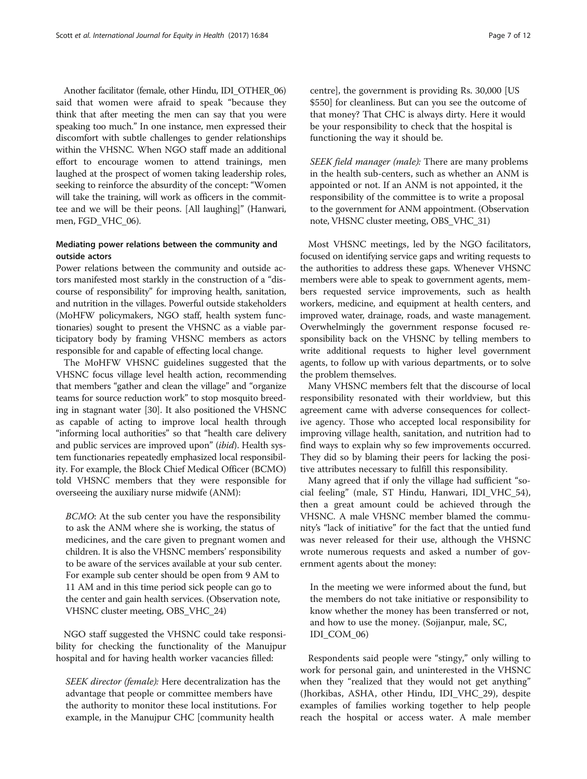Another facilitator (female, other Hindu, IDI\_OTHER\_06) said that women were afraid to speak "because they think that after meeting the men can say that you were speaking too much." In one instance, men expressed their discomfort with subtle challenges to gender relationships within the VHSNC. When NGO staff made an additional effort to encourage women to attend trainings, men laughed at the prospect of women taking leadership roles, seeking to reinforce the absurdity of the concept: "Women will take the training, will work as officers in the committee and we will be their peons. [All laughing]" (Hanwari, men, FGD\_VHC\_06).

# Mediating power relations between the community and outside actors

Power relations between the community and outside actors manifested most starkly in the construction of a "discourse of responsibility" for improving health, sanitation, and nutrition in the villages. Powerful outside stakeholders (MoHFW policymakers, NGO staff, health system functionaries) sought to present the VHSNC as a viable participatory body by framing VHSNC members as actors responsible for and capable of effecting local change.

The MoHFW VHSNC guidelines suggested that the VHSNC focus village level health action, recommending that members "gather and clean the village" and "organize teams for source reduction work" to stop mosquito breeding in stagnant water [[30](#page-10-0)]. It also positioned the VHSNC as capable of acting to improve local health through "informing local authorities" so that "health care delivery and public services are improved upon" (ibid). Health system functionaries repeatedly emphasized local responsibility. For example, the Block Chief Medical Officer (BCMO) told VHSNC members that they were responsible for overseeing the auxiliary nurse midwife (ANM):

BCMO: At the sub center you have the responsibility to ask the ANM where she is working, the status of medicines, and the care given to pregnant women and children. It is also the VHSNC members' responsibility to be aware of the services available at your sub center. For example sub center should be open from 9 AM to 11 AM and in this time period sick people can go to the center and gain health services. (Observation note, VHSNC cluster meeting, OBS\_VHC\_24)

NGO staff suggested the VHSNC could take responsibility for checking the functionality of the Manujpur hospital and for having health worker vacancies filled:

SEEK director (female): Here decentralization has the advantage that people or committee members have the authority to monitor these local institutions. For example, in the Manujpur CHC [community health

centre], the government is providing Rs. 30,000 [US \$550] for cleanliness. But can you see the outcome of that money? That CHC is always dirty. Here it would be your responsibility to check that the hospital is functioning the way it should be.

SEEK field manager (male): There are many problems in the health sub-centers, such as whether an ANM is appointed or not. If an ANM is not appointed, it the responsibility of the committee is to write a proposal to the government for ANM appointment. (Observation note, VHSNC cluster meeting, OBS\_VHC\_31)

Most VHSNC meetings, led by the NGO facilitators, focused on identifying service gaps and writing requests to the authorities to address these gaps. Whenever VHSNC members were able to speak to government agents, members requested service improvements, such as health workers, medicine, and equipment at health centers, and improved water, drainage, roads, and waste management. Overwhelmingly the government response focused responsibility back on the VHSNC by telling members to write additional requests to higher level government agents, to follow up with various departments, or to solve the problem themselves.

Many VHSNC members felt that the discourse of local responsibility resonated with their worldview, but this agreement came with adverse consequences for collective agency. Those who accepted local responsibility for improving village health, sanitation, and nutrition had to find ways to explain why so few improvements occurred. They did so by blaming their peers for lacking the positive attributes necessary to fulfill this responsibility.

Many agreed that if only the village had sufficient "social feeling" (male, ST Hindu, Hanwari, IDI\_VHC\_54), then a great amount could be achieved through the VHSNC. A male VHSNC member blamed the community's "lack of initiative" for the fact that the untied fund was never released for their use, although the VHSNC wrote numerous requests and asked a number of government agents about the money:

In the meeting we were informed about the fund, but the members do not take initiative or responsibility to know whether the money has been transferred or not, and how to use the money. (Sojjanpur, male, SC, IDI\_COM\_06)

Respondents said people were "stingy," only willing to work for personal gain, and uninterested in the VHSNC when they "realized that they would not get anything" (Jhorkibas, ASHA, other Hindu, IDI\_VHC\_29), despite examples of families working together to help people reach the hospital or access water. A male member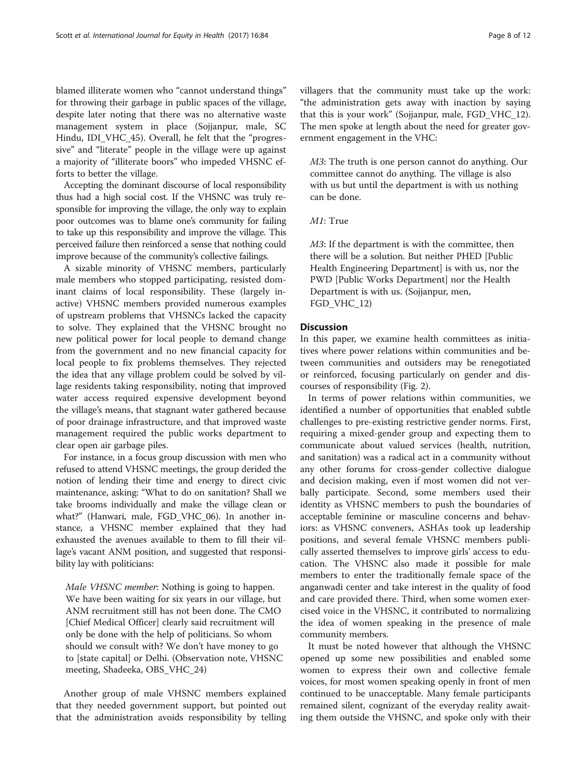blamed illiterate women who "cannot understand things" for throwing their garbage in public spaces of the village, despite later noting that there was no alternative waste management system in place (Sojjanpur, male, SC Hindu, IDI\_VHC\_45). Overall, he felt that the "progressive" and "literate" people in the village were up against a majority of "illiterate boors" who impeded VHSNC efforts to better the village.

Accepting the dominant discourse of local responsibility thus had a high social cost. If the VHSNC was truly responsible for improving the village, the only way to explain poor outcomes was to blame one's community for failing to take up this responsibility and improve the village. This perceived failure then reinforced a sense that nothing could improve because of the community's collective failings.

A sizable minority of VHSNC members, particularly male members who stopped participating, resisted dominant claims of local responsibility. These (largely inactive) VHSNC members provided numerous examples of upstream problems that VHSNCs lacked the capacity to solve. They explained that the VHSNC brought no new political power for local people to demand change from the government and no new financial capacity for local people to fix problems themselves. They rejected the idea that any village problem could be solved by village residents taking responsibility, noting that improved water access required expensive development beyond the village's means, that stagnant water gathered because of poor drainage infrastructure, and that improved waste management required the public works department to clear open air garbage piles.

For instance, in a focus group discussion with men who refused to attend VHSNC meetings, the group derided the notion of lending their time and energy to direct civic maintenance, asking: "What to do on sanitation? Shall we take brooms individually and make the village clean or what?" (Hanwari, male, FGD\_VHC\_06). In another instance, a VHSNC member explained that they had exhausted the avenues available to them to fill their village's vacant ANM position, and suggested that responsibility lay with politicians:

Male VHSNC member: Nothing is going to happen. We have been waiting for six years in our village, but ANM recruitment still has not been done. The CMO [Chief Medical Officer] clearly said recruitment will only be done with the help of politicians. So whom should we consult with? We don't have money to go to [state capital] or Delhi. (Observation note, VHSNC meeting, Shadeeka, OBS\_VHC\_24)

Another group of male VHSNC members explained that they needed government support, but pointed out that the administration avoids responsibility by telling villagers that the community must take up the work: "the administration gets away with inaction by saying that this is your work" (Sojjanpur, male, FGD\_VHC\_12). The men spoke at length about the need for greater government engagement in the VHC:

M3: The truth is one person cannot do anything. Our committee cannot do anything. The village is also with us but until the department is with us nothing can be done.

# M1: True

M3: If the department is with the committee, then there will be a solution. But neither PHED [Public Health Engineering Department] is with us, nor the PWD [Public Works Department] nor the Health Department is with us. (Sojjanpur, men, FGD\_VHC\_12)

# **Discussion**

In this paper, we examine health committees as initiatives where power relations within communities and between communities and outsiders may be renegotiated or reinforced, focusing particularly on gender and discourses of responsibility (Fig. [2\)](#page-8-0).

In terms of power relations within communities, we identified a number of opportunities that enabled subtle challenges to pre-existing restrictive gender norms. First, requiring a mixed-gender group and expecting them to communicate about valued services (health, nutrition, and sanitation) was a radical act in a community without any other forums for cross-gender collective dialogue and decision making, even if most women did not verbally participate. Second, some members used their identity as VHSNC members to push the boundaries of acceptable feminine or masculine concerns and behaviors: as VHSNC conveners, ASHAs took up leadership positions, and several female VHSNC members publically asserted themselves to improve girls' access to education. The VHSNC also made it possible for male members to enter the traditionally female space of the anganwadi center and take interest in the quality of food and care provided there. Third, when some women exercised voice in the VHSNC, it contributed to normalizing the idea of women speaking in the presence of male community members.

It must be noted however that although the VHSNC opened up some new possibilities and enabled some women to express their own and collective female voices, for most women speaking openly in front of men continued to be unacceptable. Many female participants remained silent, cognizant of the everyday reality awaiting them outside the VHSNC, and spoke only with their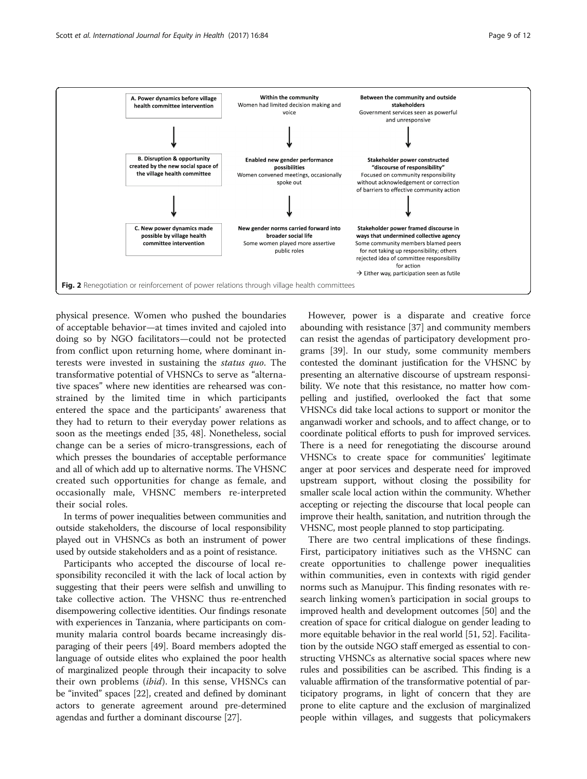<span id="page-8-0"></span>

physical presence. Women who pushed the boundaries of acceptable behavior—at times invited and cajoled into doing so by NGO facilitators—could not be protected from conflict upon returning home, where dominant interests were invested in sustaining the status quo. The transformative potential of VHSNCs to serve as "alternative spaces" where new identities are rehearsed was constrained by the limited time in which participants entered the space and the participants' awareness that they had to return to their everyday power relations as soon as the meetings ended [\[35](#page-10-0), [48\]](#page-10-0). Nonetheless, social change can be a series of micro-transgressions, each of which presses the boundaries of acceptable performance and all of which add up to alternative norms. The VHSNC created such opportunities for change as female, and occasionally male, VHSNC members re-interpreted their social roles.

In terms of power inequalities between communities and outside stakeholders, the discourse of local responsibility played out in VHSNCs as both an instrument of power used by outside stakeholders and as a point of resistance.

Participants who accepted the discourse of local responsibility reconciled it with the lack of local action by suggesting that their peers were selfish and unwilling to take collective action. The VHSNC thus re-entrenched disempowering collective identities. Our findings resonate with experiences in Tanzania, where participants on community malaria control boards became increasingly disparaging of their peers [[49](#page-11-0)]. Board members adopted the language of outside elites who explained the poor health of marginalized people through their incapacity to solve their own problems *(ibid)*. In this sense, VHSNCs can be "invited" spaces [\[22\]](#page-10-0), created and defined by dominant actors to generate agreement around pre-determined agendas and further a dominant discourse [\[27](#page-10-0)].

However, power is a disparate and creative force abounding with resistance [[37](#page-10-0)] and community members can resist the agendas of participatory development programs [\[39\]](#page-10-0). In our study, some community members contested the dominant justification for the VHSNC by presenting an alternative discourse of upstream responsibility. We note that this resistance, no matter how compelling and justified, overlooked the fact that some VHSNCs did take local actions to support or monitor the anganwadi worker and schools, and to affect change, or to coordinate political efforts to push for improved services. There is a need for renegotiating the discourse around VHSNCs to create space for communities' legitimate anger at poor services and desperate need for improved upstream support, without closing the possibility for smaller scale local action within the community. Whether accepting or rejecting the discourse that local people can improve their health, sanitation, and nutrition through the VHSNC, most people planned to stop participating.

There are two central implications of these findings. First, participatory initiatives such as the VHSNC can create opportunities to challenge power inequalities within communities, even in contexts with rigid gender norms such as Manujpur. This finding resonates with research linking women's participation in social groups to improved health and development outcomes [\[50\]](#page-11-0) and the creation of space for critical dialogue on gender leading to more equitable behavior in the real world [\[51, 52](#page-11-0)]. Facilitation by the outside NGO staff emerged as essential to constructing VHSNCs as alternative social spaces where new rules and possibilities can be ascribed. This finding is a valuable affirmation of the transformative potential of participatory programs, in light of concern that they are prone to elite capture and the exclusion of marginalized people within villages, and suggests that policymakers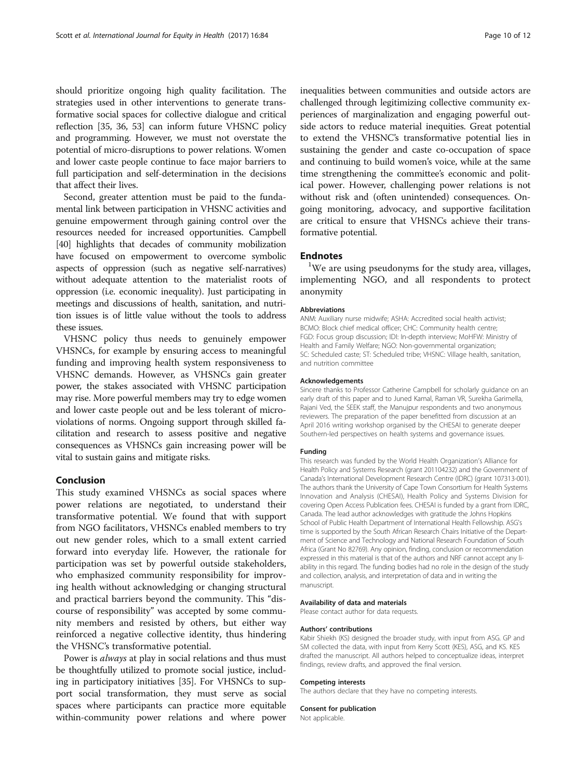should prioritize ongoing high quality facilitation. The strategies used in other interventions to generate transformative social spaces for collective dialogue and critical reflection [[35, 36,](#page-10-0) [53\]](#page-11-0) can inform future VHSNC policy and programming. However, we must not overstate the potential of micro-disruptions to power relations. Women and lower caste people continue to face major barriers to full participation and self-determination in the decisions that affect their lives.

Second, greater attention must be paid to the fundamental link between participation in VHSNC activities and genuine empowerment through gaining control over the resources needed for increased opportunities. Campbell [[40](#page-10-0)] highlights that decades of community mobilization have focused on empowerment to overcome symbolic aspects of oppression (such as negative self-narratives) without adequate attention to the materialist roots of oppression (i.e. economic inequality). Just participating in meetings and discussions of health, sanitation, and nutrition issues is of little value without the tools to address these issues.

VHSNC policy thus needs to genuinely empower VHSNCs, for example by ensuring access to meaningful funding and improving health system responsiveness to VHSNC demands. However, as VHSNCs gain greater power, the stakes associated with VHSNC participation may rise. More powerful members may try to edge women and lower caste people out and be less tolerant of microviolations of norms. Ongoing support through skilled facilitation and research to assess positive and negative consequences as VHSNCs gain increasing power will be vital to sustain gains and mitigate risks.

# Conclusion

This study examined VHSNCs as social spaces where power relations are negotiated, to understand their transformative potential. We found that with support from NGO facilitators, VHSNCs enabled members to try out new gender roles, which to a small extent carried forward into everyday life. However, the rationale for participation was set by powerful outside stakeholders, who emphasized community responsibility for improving health without acknowledging or changing structural and practical barriers beyond the community. This "discourse of responsibility" was accepted by some community members and resisted by others, but either way reinforced a negative collective identity, thus hindering the VHSNC's transformative potential.

Power is *always* at play in social relations and thus must be thoughtfully utilized to promote social justice, including in participatory initiatives [\[35\]](#page-10-0). For VHSNCs to support social transformation, they must serve as social spaces where participants can practice more equitable within-community power relations and where power

inequalities between communities and outside actors are challenged through legitimizing collective community experiences of marginalization and engaging powerful outside actors to reduce material inequities. Great potential to extend the VHSNC's transformative potential lies in sustaining the gender and caste co-occupation of space and continuing to build women's voice, while at the same time strengthening the committee's economic and political power. However, challenging power relations is not without risk and (often unintended) consequences. Ongoing monitoring, advocacy, and supportive facilitation are critical to ensure that VHSNCs achieve their transformative potential.

# **Endnotes**

<sup>1</sup>We are using pseudonyms for the study area, villages, implementing NGO, and all respondents to protect anonymity

#### **Abbreviations**

ANM: Auxiliary nurse midwife; ASHA: Accredited social health activist; BCMO: Block chief medical officer; CHC: Community health centre; FGD: Focus group discussion; IDI: In-depth interview; MoHFW: Ministry of Health and Family Welfare; NGO: Non-governmental organization; SC: Scheduled caste; ST: Scheduled tribe; VHSNC: Village health, sanitation, and nutrition committee

#### Acknowledgements

Sincere thanks to Professor Catherine Campbell for scholarly guidance on an early draft of this paper and to Juned Kamal, Raman VR, Surekha Garimella, Rajani Ved, the SEEK staff, the Manujpur respondents and two anonymous reviewers. The preparation of the paper benefitted from discussion at an April 2016 writing workshop organised by the CHESAI to generate deeper Southern-led perspectives on health systems and governance issues.

#### Funding

This research was funded by the World Health Organization's Alliance for Health Policy and Systems Research (grant 201104232) and the Government of Canada's International Development Research Centre (IDRC) (grant 107313-001). The authors thank the University of Cape Town Consortium for Health Systems Innovation and Analysis (CHESAI), Health Policy and Systems Division for covering Open Access Publication fees. CHESAI is funded by a grant from IDRC, Canada. The lead author acknowledges with gratitude the Johns Hopkins School of Public Health Department of International Health Fellowship. ASG's time is supported by the South African Research Chairs Initiative of the Department of Science and Technology and National Research Foundation of South Africa (Grant No 82769). Any opinion, finding, conclusion or recommendation expressed in this material is that of the authors and NRF cannot accept any liability in this regard. The funding bodies had no role in the design of the study and collection, analysis, and interpretation of data and in writing the manuscript.

#### Availability of data and materials

Please contact author for data requests.

#### Authors' contributions

Kabir Shiekh (KS) designed the broader study, with input from ASG. GP and SM collected the data, with input from Kerry Scott (KES), ASG, and KS. KES drafted the manuscript. All authors helped to conceptualize ideas, interpret findings, review drafts, and approved the final version.

#### Competing interests

The authors declare that they have no competing interests.

#### Consent for publication

Not applicable.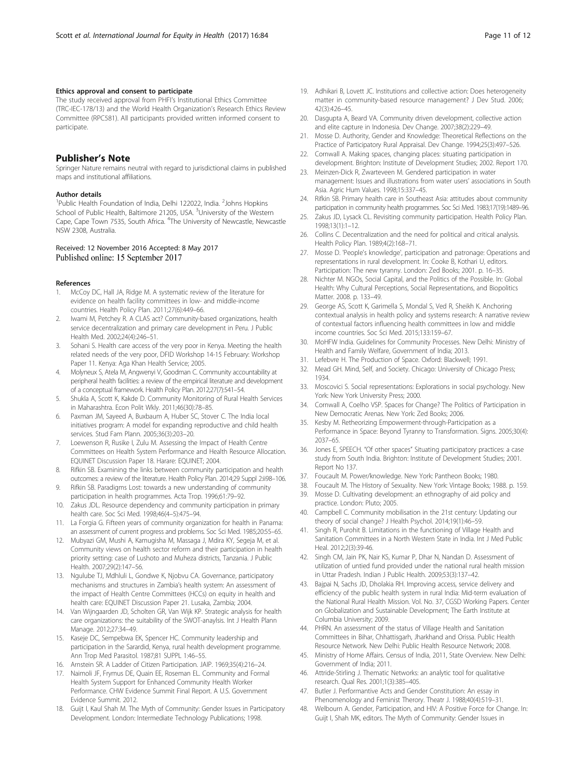#### <span id="page-10-0"></span>Ethics approval and consent to participate

The study received approval from PHFI's Institutional Ethics Committee (TRC-IEC-178/13) and the World Health Organization's Research Ethics Review Committee (RPC581). All participants provided written informed consent to participate.

## Publisher's Note

Springer Nature remains neutral with regard to jurisdictional claims in published maps and institutional affiliations.

#### Author details

<sup>1</sup>Public Health Foundation of India, Delhi 122022, India. <sup>2</sup>Johns Hopkins School of Public Health, Baltimore 21205, USA. <sup>3</sup>University of the Western Cape, Cape Town 7535, South Africa. <sup>4</sup>The University of Newcastle, Newcastle NSW 2308, Australia.

## Received: 12 November 2016 Accepted: 8 May 2017 Published online: 15 September 2017

#### References

- 1. McCoy DC, Hall JA, Ridge M. A systematic review of the literature for evidence on health facility committees in low- and middle-income countries. Health Policy Plan. 2011;27(6):449–66.
- 2. Iwami M, Petchey R. A CLAS act? Community-based organizations, health service decentralization and primary care development in Peru. J Public Health Med. 2002;24(4):246–51.
- 3. Sohani S. Health care access of the very poor in Kenya. Meeting the health related needs of the very poor, DFID Workshop 14-15 February: Workshop Paper 11. Kenya: Aga Khan Health Service; 2005.
- 4. Molyneux S, Atela M, Angwenyi V, Goodman C. Community accountability at peripheral health facilities: a review of the empirical literature and development of a conceptual framework. Health Policy Plan. 2012;27(7):541–54.
- 5. Shukla A, Scott K, Kakde D. Community Monitoring of Rural Health Services in Maharashtra. Econ Polit Wkly. 2011;46(30):78–85.
- 6. Paxman JM, Sayeed A, Buxbaum A, Huber SC, Stover C. The India local initiatives program: A model for expanding reproductive and child health services. Stud Fam Plann. 2005;36(3):203–20.
- 7. Loewenson R, Rusike I, Zulu M. Assessing the Impact of Health Centre Committees on Health System Performance and Health Resource Allocation. EQUINET Discussion Paper 18. Harare: EQUINET; 2004.
- 8. Rifkin SB. Examining the links between community participation and health outcomes: a review of the literature. Health Policy Plan. 2014;29 Suppl 2:ii98–106.
- 9. Rifkin SB. Paradigms Lost: towards a new understanding of community participation in health programmes. Acta Trop. 1996;61:79–92.
- 10. Zakus JDL. Resource dependency and community participation in primary health care. Soc Sci Med. 1998;46(4–5):475–94.
- 11. La Forgia G. Fifteen years of community organization for health in Panama: an assessment of current progress and problems. Soc Sci Med. 1985;20:55–65.
- 12. Mubyazi GM, Mushi A, Kamugisha M, Massaga J, Mdira KY, Segeja M, et al. Community views on health sector reform and their participation in health priority setting: case of Lushoto and Muheza districts, Tanzania. J Public Health. 2007;29(2):147–56.
- 13. Ngulube TJ, Mdhluli L, Gondwe K, Njobvu CA. Governance, participatory mechanisms and structures in Zambia's health system: An assessment of the impact of Health Centre Committees (HCCs) on equity in health and health care: EQUINET Discussion Paper 21. Lusaka, Zambia; 2004.
- 14. Van Wijngaarden JD, Scholten GR, Van Wijk KP. Strategic analysis for health care organizations: the suitability of the SWOT-anaylsis. Int J Health Plann Manage. 2012;27:34–49.
- 15. Kaseje DC, Sempebwa EK, Spencer HC. Community leadership and participation in the Sarardid, Kenya, rural health development programme. Ann Trop Med Parasitol. 1987;81 SUPPL 1:46–55.
- 16. Arnstein SR. A Ladder of Citizen Participation. JAIP. 1969;35(4):216–24.
- 17. Naimoli JF, Frymus DE, Quain EE, Roseman EL. Community and Formal Health System Support for Enhanced Community Health Worker Performance. CHW Evidence Summit Final Report. A U.S. Government Evidence Summit. 2012.
- 18. Guijt I, Kaul Shah M. The Myth of Community: Gender Issues in Participatory Development. London: Intermediate Technology Publications; 1998.
- 19. Adhikari B, Lovett JC. Institutions and collective action: Does heterogeneity matter in community-based resource management? J Dev Stud. 2006; 42(3):426–45.
- 20. Dasgupta A, Beard VA. Community driven development, collective action and elite capture in Indonesia. Dev Change. 2007;38(2):229–49.
- 21. Mosse D. Authority, Gender and Knowledge: Theoretical Reflections on the Practice of Participatory Rural Appraisal. Dev Change. 1994;25(3):497–526.
- 22. Cornwall A. Making spaces, changing places: situating participation in development. Brighton: Institute of Development Studies; 2002. Report 170.
- 23. Meinzen-Dick R, Zwarteveen M. Gendered participation in water management: Issues and illustrations from water users' associations in South Asia. Agric Hum Values. 1998;15:337–45.
- 24. Rifkin SB. Primary health care in Southeast Asia: attitudes about community participation in community health programmes. Soc Sci Med. 1983;17(19):1489–96.
- 25. Zakus JD, Lysack CL. Revisiting community participation. Health Policy Plan. 1998;13(1):1–12.
- 26. Collins C. Decentralization and the need for political and critical analysis. Health Policy Plan. 1989;4(2):168–71.
- 27. Mosse D. 'People's knowledge', participation and patronage: Operations and representations in rural development. In: Cooke B, Kothari U, editors. Participation: The new tyranny. London: Zed Books; 2001. p. 16–35.
- 28. Nichter M. NGOs, Social Capital, and the Politics of the Possible. In: Global Health: Why Cultural Perceptions, Social Representations, and Biopolitics Matter. 2008. p. 133–49.
- 29. George AS, Scott K, Garimella S, Mondal S, Ved R, Sheikh K. Anchoring contextual analysis in health policy and systems research: A narrative review of contextual factors influencing health committees in low and middle income countries. Soc Sci Med. 2015;133:159–67.
- 30. MoHFW India. Guidelines for Community Processes. New Delhi: Ministry of Health and Family Welfare, Government of India; 2013.
- 31. Lefebvre H. The Production of Space. Oxford: Blackwell; 1991.
- 32. Mead GH. Mind, Self, and Society. Chicago: University of Chicago Press; 1934.
- 33. Moscovici S. Social representations: Explorations in social psychology. New York: New York University Press; 2000.
- 34. Cornwall A, Coelho VSP. Spaces for Change? The Politics of Participation in New Democratic Arenas. New York: Zed Books; 2006.
- 35. Kesby M. Retheorizing Empowerment-through-Participation as a Performance in Space: Beyond Tyranny to Transformation. Signs. 2005;30(4): 2037–65.
- 36. Jones E, SPEECH. "Of other spaces" Situating participatory practices: a case study from South India. Brighton: Institute of Development Studies; 2001. Report No 137.
- 37. Foucault M. Power/knowledge. New York: Pantheon Books; 1980.
- 38. Foucault M. The History of Sexuality. New York: Vintage Books; 1988. p. 159.
- 39. Mosse D. Cultivating development: an ethnography of aid policy and practice. London: Pluto; 2005.
- 40. Campbell C. Community mobilisation in the 21st century: Updating our theory of social change? J Health Psychol. 2014;19(1):46–59.
- 41. Singh R, Purohit B. Limitations in the functioning of Village Health and Sanitation Committees in a North Western State in India. Int J Med Public Heal. 2012;2(3):39-46.
- 42. Singh CM, Jain PK, Nair KS, Kumar P, Dhar N, Nandan D. Assessment of utilization of untied fund provided under the national rural health mission in Uttar Pradesh. Indian J Public Health. 2009;53(3):137–42.
- 43. Bajpai N, Sachs JD, Dholakia RH. Improving access, service delivery and efficiency of the public health system in rural India: Mid-term evaluation of the National Rural Health Mission. Vol. No. 37, CGSD Working Papers. Center on Globalization and Sustainable Development; The Earth Institute at Columbia University; 2009.
- 44. PHRN. An assessment of the status of Village Health and Sanitation Committees in Bihar, Chhattisgarh, Jharkhand and Orissa. Public Health Resource Network. New Delhi: Public Health Resource Network; 2008.
- 45. Ministry of Home Affairs. Census of India, 2011, State Overview. New Delhi: Government of India; 2011.
- 46. Attride-Stirling J. Thematic Networks: an analytic tool for qualitative research. Qual Res. 2001;1(3):385–405.
- 47. Butler J. Performantive Acts and Gender Constitution: An essay in Phenomenology and Feminist Therory. Theatr J. 1988;40(4):519–31.
- 48. Welbourn A. Gender, Participation, and HIV: A Positive Force for Change. In: Guijt I, Shah MK, editors. The Myth of Community: Gender Issues in